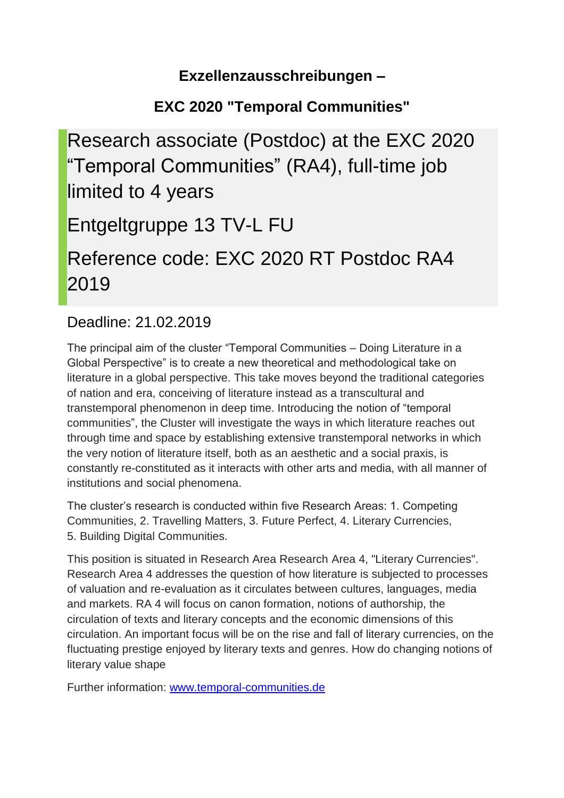### **Exzellenzausschreibungen –**

# **EXC 2020 "Temporal Communities"**

Research associate (Postdoc) at the EXC 2020 "Temporal Communities" (RA4), full-time job limited to 4 years Entgeltgruppe 13 TV-L FU Reference code: EXC 2020 RT Postdoc RA4 2019

## Deadline: 21.02.2019

The principal aim of the cluster "Temporal Communities – Doing Literature in a Global Perspective" is to create a new theoretical and methodological take on literature in a global perspective. This take moves beyond the traditional categories of nation and era, conceiving of literature instead as a transcultural and transtemporal phenomenon in deep time. Introducing the notion of "temporal communities", the Cluster will investigate the ways in which literature reaches out through time and space by establishing extensive transtemporal networks in which the very notion of literature itself, both as an aesthetic and a social praxis, is constantly re-constituted as it interacts with other arts and media, with all manner of institutions and social phenomena.

The cluster's research is conducted within five Research Areas: 1. Competing Communities, 2. Travelling Matters, 3. Future Perfect, 4. Literary Currencies, 5. Building Digital Communities.

This position is situated in Research Area Research Area 4, "Literary Currencies". Research Area 4 addresses the question of how literature is subjected to processes of valuation and re-evaluation as it circulates between cultures, languages, media and markets. RA 4 will focus on canon formation, notions of authorship, the circulation of texts and literary concepts and the economic dimensions of this circulation. An important focus will be on the rise and fall of literary currencies, on the fluctuating prestige enjoyed by literary texts and genres. How do changing notions of literary value shape

Further information: [www.temporal-communities.de](http://www.temporal-communities.de/)